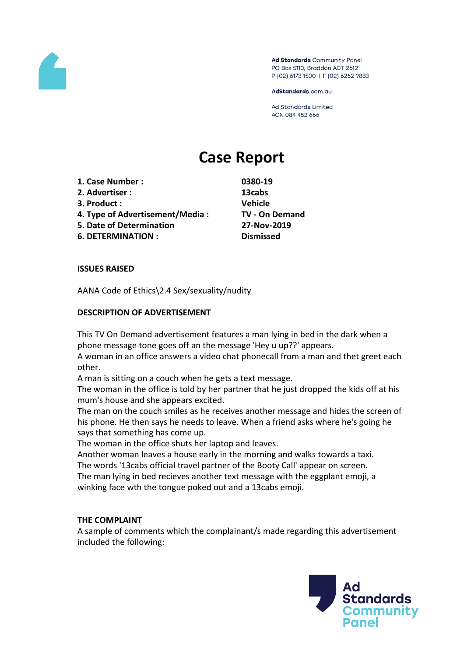

Ad Standards Community Panel PO Box 5110, Braddon ACT 2612 P (02) 6173 1500 | F (02) 6262 9833

AdStandards.com.au

**Ad Standards Limited** ACN 084 452 666

# **Case Report**

- **1. Case Number : 0380-19**
- **2. Advertiser : 13cabs**
- **3. Product : Vehicle**
- **4. Type of Advertisement/Media : TV - On Demand**
- **5. Date of Determination 27-Nov-2019**
- **6. DETERMINATION : Dismissed**

### **ISSUES RAISED**

AANA Code of Ethics\2.4 Sex/sexuality/nudity

# **DESCRIPTION OF ADVERTISEMENT**

This TV On Demand advertisement features a man lying in bed in the dark when a phone message tone goes off an the message 'Hey u up??' appears.

A woman in an office answers a video chat phonecall from a man and thet greet each other.

A man is sitting on a couch when he gets a text message.

The woman in the office is told by her partner that he just dropped the kids off at his mum's house and she appears excited.

The man on the couch smiles as he receives another message and hides the screen of his phone. He then says he needs to leave. When a friend asks where he's going he says that something has come up.

The woman in the office shuts her laptop and leaves.

Another woman leaves a house early in the morning and walks towards a taxi. The words '13cabs official travel partner of the Booty Call' appear on screen.

The man lying in bed recieves another text message with the eggplant emoji, a winking face wth the tongue poked out and a 13cabs emoji.

### **THE COMPLAINT**

A sample of comments which the complainant/s made regarding this advertisement included the following:

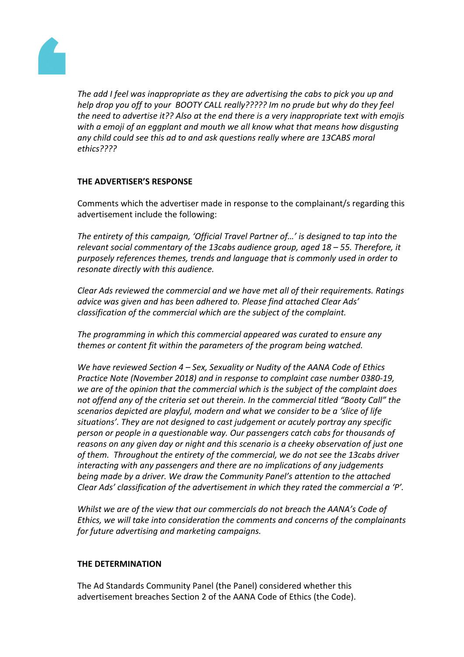

*The add I feel was inappropriate as they are advertising the cabs to pick you up and help drop you off to your BOOTY CALL really????? Im no prude but why do they feel the need to advertise it?? Also at the end there is a very inappropriate text with emojis with a emoji of an eggplant and mouth we all know what that means how disgusting any child could see this ad to and ask questions really where are 13CABS moral ethics????*

# **THE ADVERTISER'S RESPONSE**

Comments which the advertiser made in response to the complainant/s regarding this advertisement include the following:

*The entirety of this campaign, 'Official Travel Partner of…' is designed to tap into the relevant social commentary of the 13cabs audience group, aged 18 – 55. Therefore, it purposely references themes, trends and language that is commonly used in order to resonate directly with this audience.*

*Clear Ads reviewed the commercial and we have met all of their requirements. Ratings advice was given and has been adhered to. Please find attached Clear Ads' classification of the commercial which are the subject of the complaint.*

*The programming in which this commercial appeared was curated to ensure any themes or content fit within the parameters of the program being watched.*

*We have reviewed Section 4 – Sex, Sexuality or Nudity of the AANA Code of Ethics Practice Note (November 2018) and in response to complaint case number 0380-19, we are of the opinion that the commercial which is the subject of the complaint does not offend any of the criteria set out therein. In the commercial titled "Booty Call" the scenarios depicted are playful, modern and what we consider to be a 'slice of life situations'. They are not designed to cast judgement or acutely portray any specific person or people in a questionable way. Our passengers catch cabs for thousands of reasons on any given day or night and this scenario is a cheeky observation of just one of them. Throughout the entirety of the commercial, we do not see the 13cabs driver interacting with any passengers and there are no implications of any judgements being made by a driver. We draw the Community Panel's attention to the attached Clear Ads' classification of the advertisement in which they rated the commercial a 'P'.*

*Whilst we are of the view that our commercials do not breach the AANA's Code of Ethics, we will take into consideration the comments and concerns of the complainants for future advertising and marketing campaigns.*

### **THE DETERMINATION**

The Ad Standards Community Panel (the Panel) considered whether this advertisement breaches Section 2 of the AANA Code of Ethics (the Code).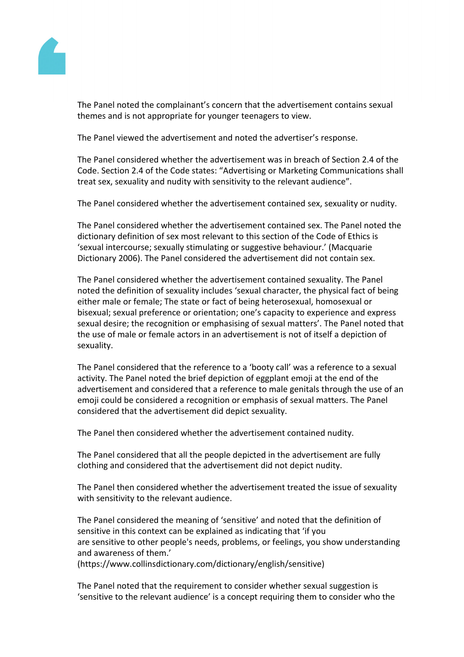

The Panel noted the complainant's concern that the advertisement contains sexual themes and is not appropriate for younger teenagers to view.

The Panel viewed the advertisement and noted the advertiser's response.

The Panel considered whether the advertisement was in breach of Section 2.4 of the Code. Section 2.4 of the Code states: "Advertising or Marketing Communications shall treat sex, sexuality and nudity with sensitivity to the relevant audience".

The Panel considered whether the advertisement contained sex, sexuality or nudity.

The Panel considered whether the advertisement contained sex. The Panel noted the dictionary definition of sex most relevant to this section of the Code of Ethics is 'sexual intercourse; sexually stimulating or suggestive behaviour.' (Macquarie Dictionary 2006). The Panel considered the advertisement did not contain sex.

The Panel considered whether the advertisement contained sexuality. The Panel noted the definition of sexuality includes 'sexual character, the physical fact of being either male or female; The state or fact of being heterosexual, homosexual or bisexual; sexual preference or orientation; one's capacity to experience and express sexual desire; the recognition or emphasising of sexual matters'. The Panel noted that the use of male or female actors in an advertisement is not of itself a depiction of sexuality.

The Panel considered that the reference to a 'booty call' was a reference to a sexual activity. The Panel noted the brief depiction of eggplant emoji at the end of the advertisement and considered that a reference to male genitals through the use of an emoji could be considered a recognition or emphasis of sexual matters. The Panel considered that the advertisement did depict sexuality.

The Panel then considered whether the advertisement contained nudity.

The Panel considered that all the people depicted in the advertisement are fully clothing and considered that the advertisement did not depict nudity.

The Panel then considered whether the advertisement treated the issue of sexuality with sensitivity to the relevant audience.

The Panel considered the meaning of 'sensitive' and noted that the definition of sensitive in this context can be explained as indicating that 'if you are sensitive to other people's needs, problems, or feelings, you show understanding and awareness of them.'

(https://www.collinsdictionary.com/dictionary/english/sensitive)

The Panel noted that the requirement to consider whether sexual suggestion is 'sensitive to the relevant audience' is a concept requiring them to consider who the